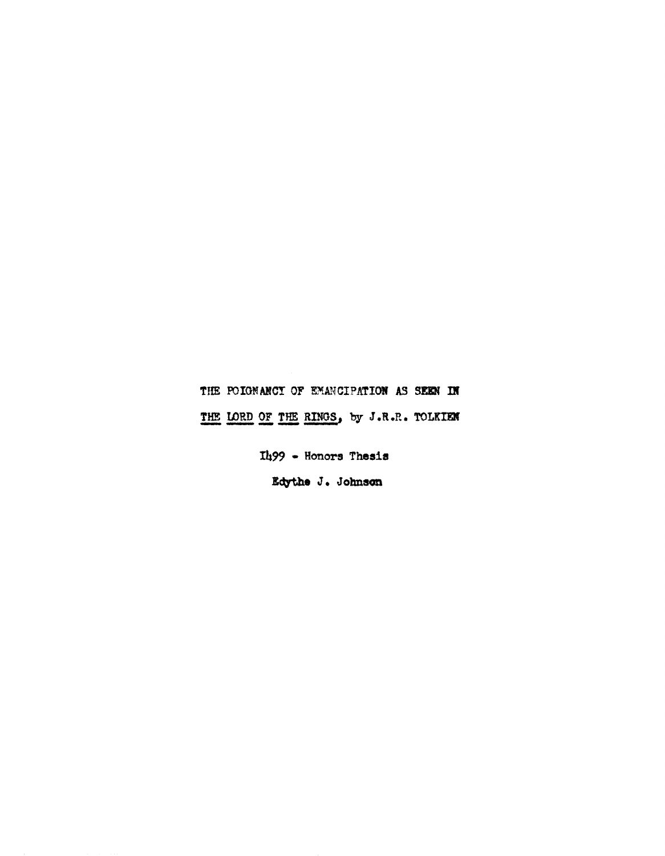# THE POIGNANCY OF EMANCIPATION AS SEEN IN

THE LORD OF THE RINGS, by J.R.R. TOLKIEN

Ih99 - Honors Thesis

Edythe J. Johnson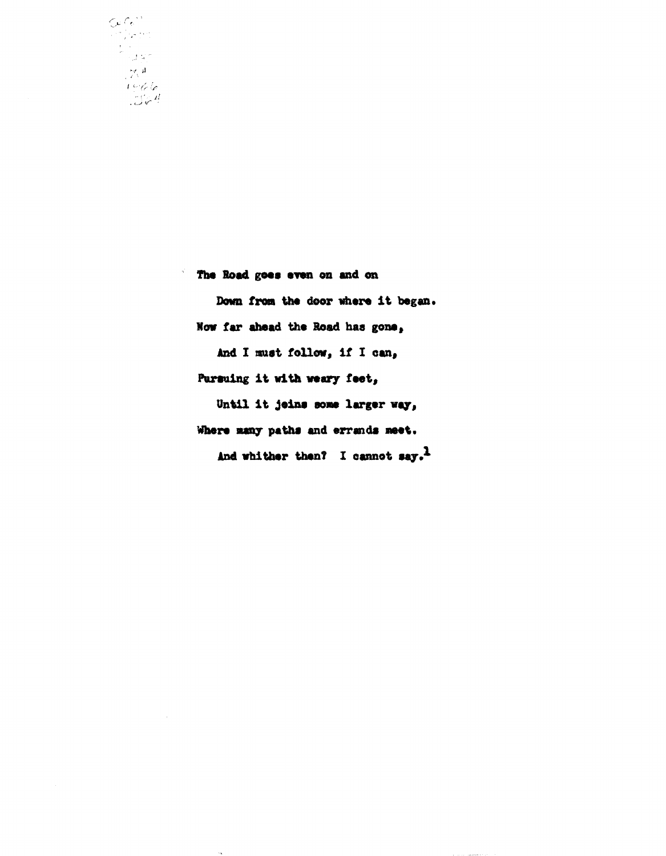

 $\mathbf{q}^{\prime}$ 

The Road goes even on and on Down from the door where it began. Now far ahead the Road has gone, And I must follow, if I can, Pursuing it with weary feet, Until it joins some larger way, Where many paths and errands meet. And whither then? I cannot say.<sup>1</sup>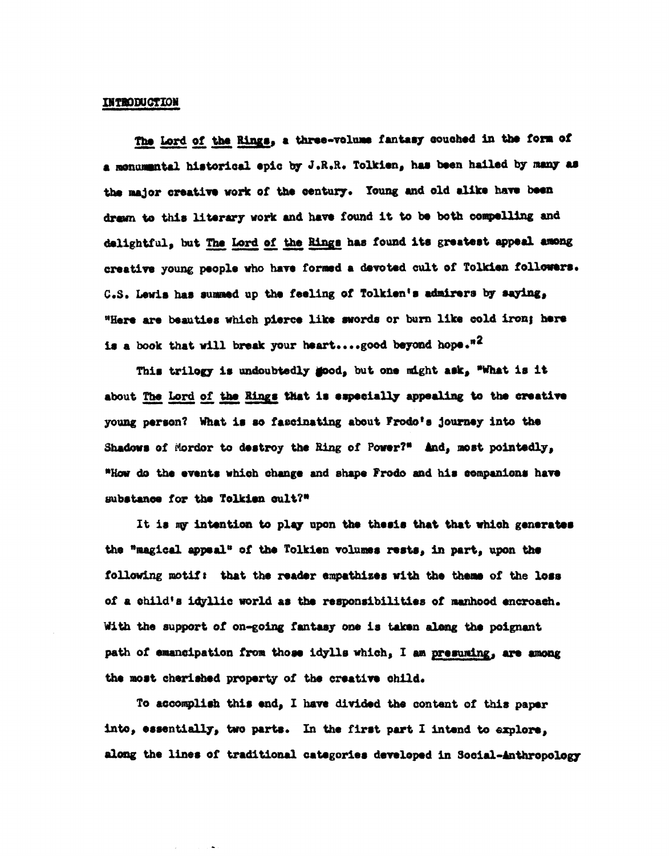#### INTRODUCTION

The Lord of the Rings, a three-volume fantasy couched in the form of a monumental historical epic by J.R.R. Tolkien, has been hailed by many as the major creative work of the century. Young and old alike have been drewn to this literary work and have found it to be both compelling and delightful, but The Lord of the Rings has found its greatest appeal among creative young people who have formed a devoted cult of Tolkien followers. C.S. Lewis has summed up the feeling of Tolkien's admirers by saying, "Here are beauties which pierce like swords or burn like cold iron; here is a book that will break your heart....good beyond hope."<sup>2</sup>

This trilogy is undoubtedly good, but one might ask, "What is it about The Lord of the Rings that is especially appealing to the creative young person? What is so fascinating about Frodo's journey into the Shadows of Mordor to destroy the Ring of Power?" And, most pointedly, "How do the events which change and shape Frodo and his companions have substance for the Tolkien cult?"

It is my intention to play upon the thesis that that which generates the "magical appeal" of the Tolkien volumes rests, in part, upon the following motif: that the reader empathizes with the theme of the loss of a child's idyllic world as the responsibilities of manhood encroach. With the support of on-going fantasy one is taken along the poignant path of emancipation from those idylls which, I am presuming, are among the most cherished property of the creative child.

To accomplish this end. I have divided the content of this paper into, essentially, two parts. In the first part I intend to explore. along the lines of traditional categories developed in Social-Anthropology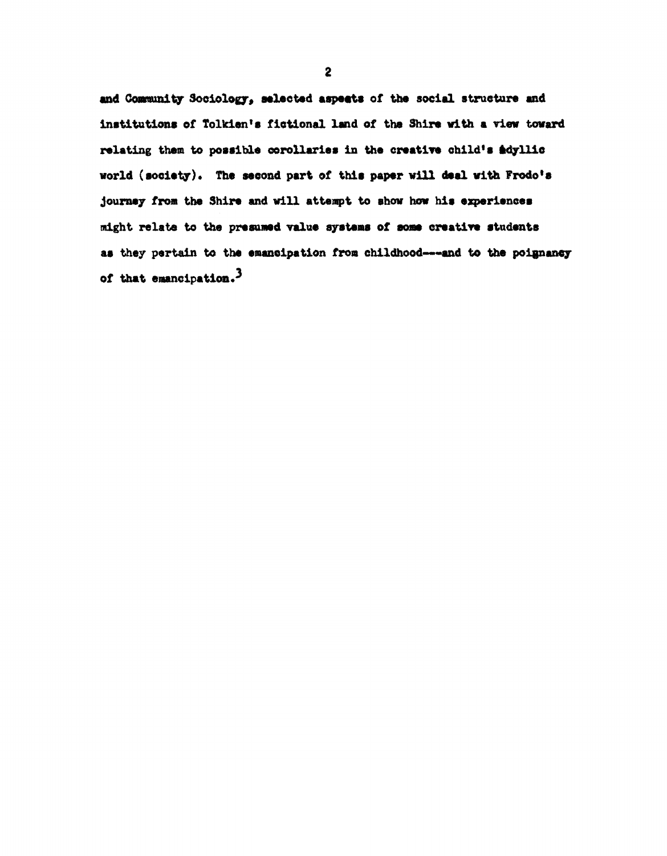and Community Sociology, selected aspects of the social structure and institutions of Tolkien's fictional land of the Shire with a view toward relating them to possible corollaries in the creative child's adyllic world (society). The second part of this paper will deal with Frodo's journey from the Shire and will attempt to show how his experiences might relate to the presumed value systems of some creative students as they pertain to the emancipation from childhood---and to the poignancy of that emancipation.<sup>3</sup>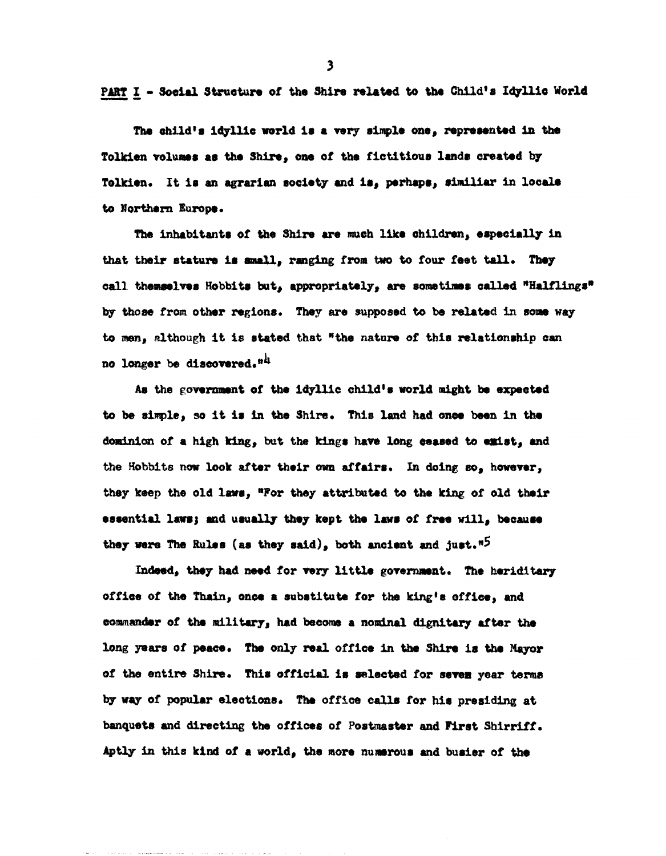PART I - Social Structure of the Shire related to the Child's Idyllic World

The child's idyllic world is a very simple one, represented in the Tolkien volumes as the Shire, one of the fictitious lands created by Tolkien. It is an agrarian society and is, perhaps, similiar in locale to Northern Europe.

The inhabitants of the Shire are much like children, especially in that their stature is small. ranging from two to four feet tall. They call themselves Hobbits but, appropriately, are sometimes called "Halflings" by those from other regions. They are supposed to be related in some way to men. although it is stated that "the nature of this relationship can no longer be discovered."<sup>4</sup>

As the government of the idyllic child's world might be expected to be simple, so it is in the Shire. This land had once been in the dominion of a high king, but the kings have long ceased to exist, and the Hobbits now look after their own affairs. In doing so, however, they keep the old laws, "For they attributed to the king of old their essential laws; and usually they kept the laws of free will, because they were The Rules (as they said), both ancient and just.<sup>45</sup>

Indeed, they had need for very little government. The heriditary office of the Thain, once a substitute for the king's office, and commander of the military, had become a nominal dignitary after the long years of peace. The only real office in the Shire is the Mayor of the entire Shire. This official is selected for seven year terms by way of popular elections. The office calls for his presiding at banquets and directing the offices of Postmaster and First Shirriff. Aptly in this kind of a world, the more numerous and busier of the

 $\overline{\mathbf{3}}$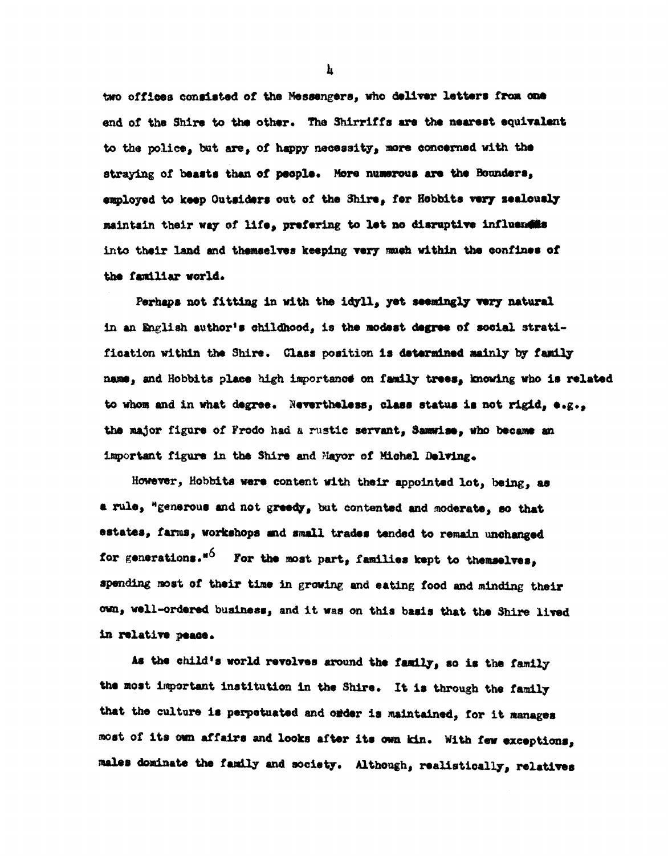two offices consisted of the Messengers, who deliver letters from one end of the Shire to the other. The Shirriffs are the nearest equivalent to the police, but are, of happy necessity, more concerned with the straying of beasts than of people. More numerous are the Bounders, employed to keep Outsiders out of the Shire, for Hobbits very sealously maintain their way of life, prefering to let no disruptive influendes into their land and themselves keeping very much within the confines of the familiar world.

Perhaps not fitting in with the idyll, yet seemingly very natural in an English author's childhood, is the modest degree of social stratification within the Shire. Class position is determined mainly by family name, and Hobbits place high importance on family trees, knowing who is related to whom and in what degree. Nevertheless, class status is not rigid, e.g., the major figure of Frodo had a rustic servant, Samwise, who became an important figure in the Shire and Mayor of Michel Delving.

However, Hobbits were content with their appointed lot. being. as a rule, "generous and not greedy, but contented and moderate, so that estates, farms, workshops and small trades tended to remain unchanged for generations.<sup>"6</sup> For the most part, families kept to themselves, spending most of their time in growing and eating food and minding their own, well-ordered business, and it was on this basis that the Shire lived in relative peace.

As the child's world revolves around the family, so is the family the most important institution in the Shire. It is through the family that the culture is perpetuated and order is maintained, for it manages most of its own affairs and looks after its own kin. With few exceptions, males dominate the family and society. Although, realistically, relatives

 $\mathbf{h}$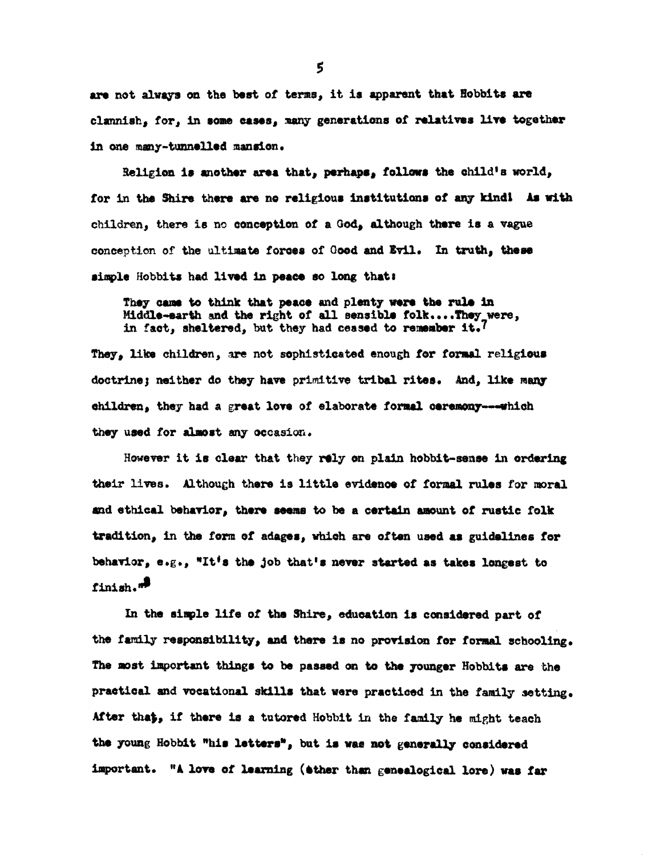are not always on the best of terms, it is apparent that Hobbits are clannish, for, in some cases, many generations of relatives live together in one many-tunnelled mansion.

Religion is another area that, perhaps, follows the child's world, for in the Shire there are no religious institutions of any kindl As with children, there is no conception of a God, although there is a vague conception of the ultimate forces of Good and Evil. In truth, these simple Hobbits had lived in peace so long that:

They came to think that peace and plenty were the rule in Middle-earth and the right of all sensible folk.... They were, in fact, sheltered, but they had ceased to remember it.<sup>7</sup>

They, like children, are not sophisticated enough for formal religious doctrine; neither do they have primitive tribal rites. And, like many children, they had a great love of elaborate formal ceremony---which they used for almost any occasion.

However it is clear that they rely on plain hobbit-sense in ordering their lives. Although there is little evidence of formal rules for moral and ethical behavior, there seems to be a certain amount of rustic folk tradition, in the form of adages, which are often used as guidelines for behavior, e.g., "It's the job that's never started as takes longest to finish."

In the simple life of the Shire, education is considered part of the family responsibility, and there is no provision for formal schooling. The most important things to be passed on to the younger Hobbits are the practical and vocational skills that were practiced in the family setting. After that, if there is a tutored Hobbit in the family he might teach the young Hobbit "his letters", but is was not generally considered important. "A love of learning (\$ther than genealogical lore) was far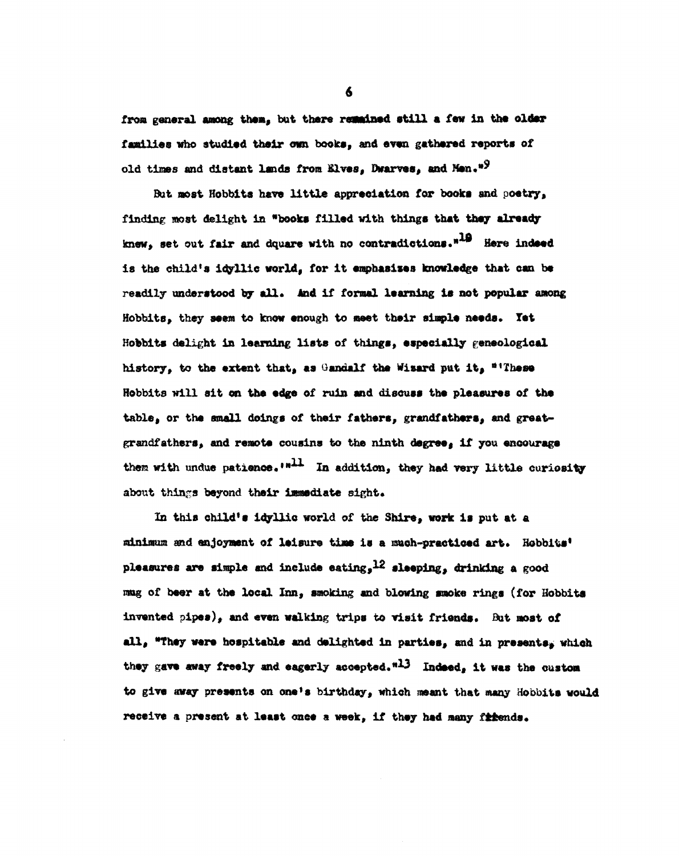from general among them, but there remained still a few in the older families who studied their own books, and even gathered reports of old times and distant lands from Elves, Dwarves, and Men.">

But most Hobbits have little appreciation for books and poetry, finding most delight in "books filled with things that they already knew, set out fair and dquare with no contradictions.<sup>n19</sup> Here indeed is the child's idyllic world, for it emphasises knowledge that can be readily understood by all. And if formal learning is not popular among Hobbits, they seem to know enough to meet their simple needs. Yet Hobbits delight in learning lists of things, especially geneological history, to the extent that, as Gandalf the Wisard put it, "'These Hobbits will sit on the edge of ruin and discuss the pleasures of the table, or the small doings of their fathers, grandfathers, and greatgrandfathers, and remote cousins to the ninth degree, if you encourage them with undue patience. ""<sup>11</sup> In addition, they had very little curiosity about things beyond their immediate sight.

In this child's idyllic world of the Shire, work is put at a minimum and enjoyment of leisure time is a much-practiced art. Hobbits' pleasures are simple and include eating, 12 sleeping, drinking a good mag of beer at the local Inn, smoking and blowing smoke rings (for Hobbits invented pipes), and even walking trips to visit friends. But most of all, "They were hospitable and delighted in parties, and in presents, which they gave away freely and eagerly accepted."13 Indeed, it was the custom to give away presents on one's birthday, which meant that many Hobbits would receive a present at least once a week, if they had many friends.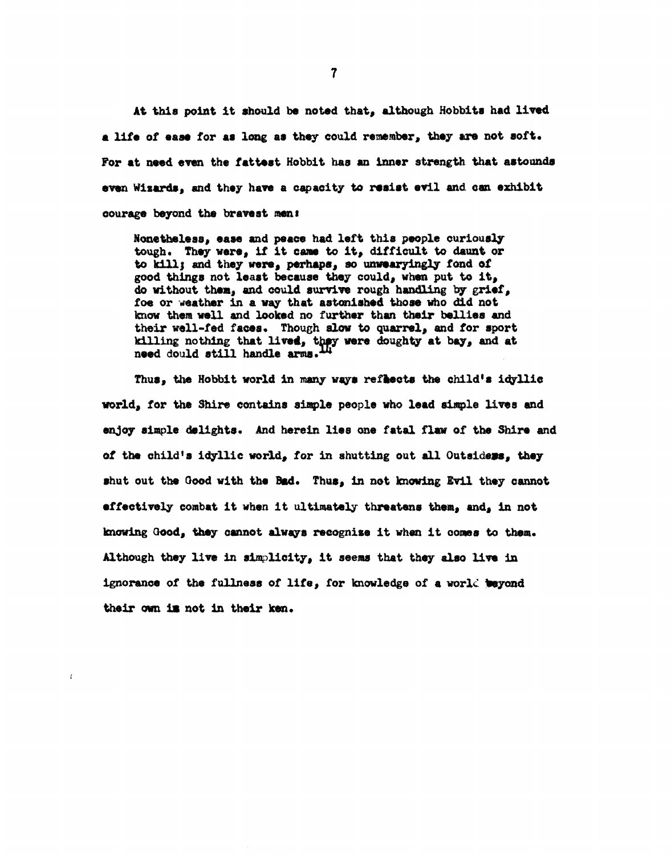At this point it should be noted that, although Hobbits had lived. a life of ease for as long as they could remember, they are not soft. For at need even the fattest Hobbit has an inner strength that astounds even Wizards, and they have a capacity to resist evil and can exhibit courage beyond the bravest men!

Nonetheless, ease and peace had left this people curiously tough. They were, if it came to it, difficult to daunt or to kill; and they were, perhaps, so unwearyingly fond of good things not least because they could, when put to it, do without them, and could survive rough handling by grief. foe or weather in a way that astonished those who did not know them well and looked no further than their bellies and their well-fed faces. Though slow to quarrel, and for sport killing nothing that lived, they were doughty at bay, and at need dould still handle arms. If

Thus, the Hobbit world in many ways reflects the child's idyllic world, for the Shire contains simple people who lead simple lives and enjoy simple delights. And herein lies one fatal flaw of the Shire and of the child's idyllic world, for in shutting out all Outsidess, they shut out the Good with the Bad. Thus, in not knowing Evil they cannot effectively combat it when it ultimately threatens them, and, in not knowing Good, they cannot always recognise it when it comes to them. Although they live in simplicity, it seems that they also live in ignorance of the fullness of life, for knowledge of a world weyond their own im not in their ken.

 $\epsilon$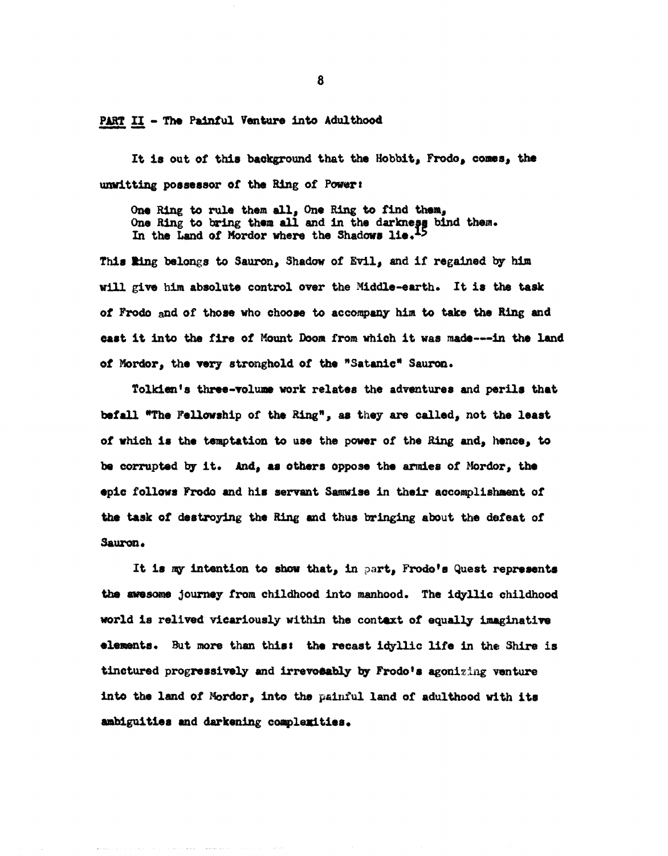#### PART II - The Painful Venture into Adulthood

It is out of this background that the Hobbit, Frodo, comes, the unwitting possessor of the Ring of Power:

One Ring to rule them all, One Ring to find them, One Ring to bring them all and in the darkness bind them. In the Land of Mordor where the Shadows lie.<sup>1</sup>

This thing belongs to Sauron, Shadow of Evil, and if regained by him will give him absolute control over the Middle-earth. It is the task of Frodo and of those who choose to accompany him to take the Ring and east it into the fire of Mount Doom from which it was made---in the land of Mordor, the very stronghold of the "Satanic" Sauron.

Tolkien's three-volume work relates the adventures and perils that befall "The Fellowship of the Ring", as they are called, not the least of which is the temptation to use the power of the Ring and, hence, to be corrupted by it. And, as others oppose the armies of Mordor, the epic follows Frodo and his servant Samwise in their accomplishment of the task of destroying the Ring and thus bringing about the defeat of Sauron.

It is my intention to show that, in part, Frodo's Quest represents the awesome journey from childhood into manhood. The idyllic childhood world is relived vicariously within the contaxt of equally imaginative elements. But more than this: the recast idyllic life in the Shire is tinctured progressively and irrevoeably by Frodo's agonizing venture into the land of Mordor, into the painful land of adulthood with its ambiguities and darkening complexities.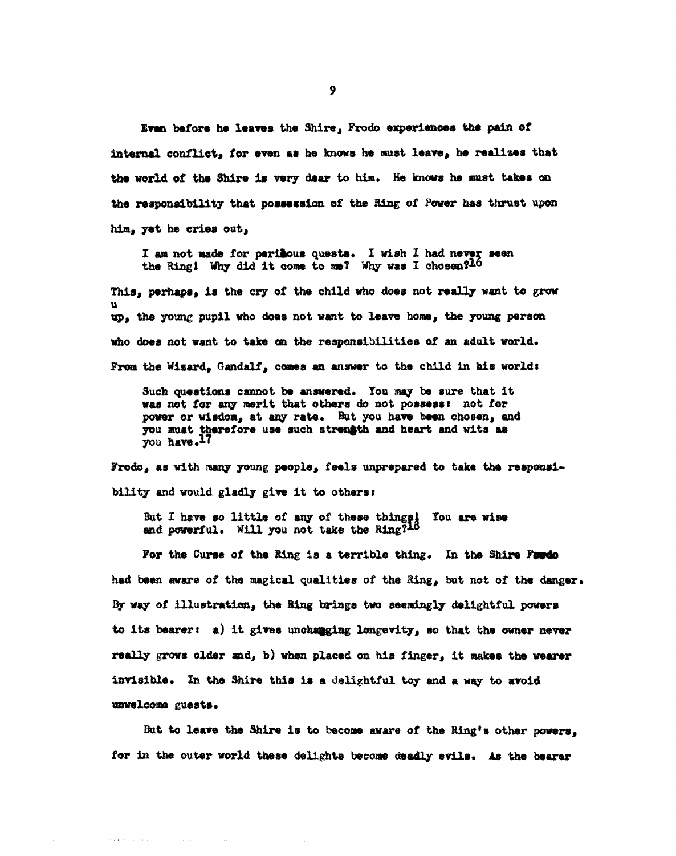Even before he leaves the Shire, Frodo experiences the pain of internal conflict, for even as he knows he must leave, he realizes that the world of the Shire is very dear to him. He knows he must takes on the responsibility that possession of the Ring of Power has thrust upon him, yet he cries out,

I am not made for perilous quests. I wish I had never seen the Ring! Why did it come to me? Why was I chosen?16

This, perhaps, is the cry of the child who does not really want to grow up, the young pupil who does not want to leave home, the young person who does not want to take on the responsibilities of an adult world. From the Wizard, Gandalf, comes an answer to the child in his world:

Such questions cannot be answered. You may be sure that it was not for any merit that others do not possess: not for power or wisdom, at any rate. But you have been chosen, and you must therefore use such strength and heart and wits as you have.<sup>17</sup>

Frodo, as with many young people, feels unprepared to take the responsibility and would gladly give it to others:

But I have so little of any of these things! You are wise<br>and powerful. Will you not take the Ring?<sup>18</sup>

For the Curse of the Ring is a terrible thing. In the Shire Fundo had been aware of the magical qualities of the Ring, but not of the danger. By way of illustration, the Ring brings two seemingly delightful powers to its bearer: a) it gives unchanging longevity, so that the owner never really grows older and, b) when placed on his finger, it makes the wearer invisible. In the Shire this is a delightful toy and a way to avoid unwelcome guests.

But to leave the Shire is to become aware of the Ring's other powers. for in the outer world these delights become deadly evils. As the bearer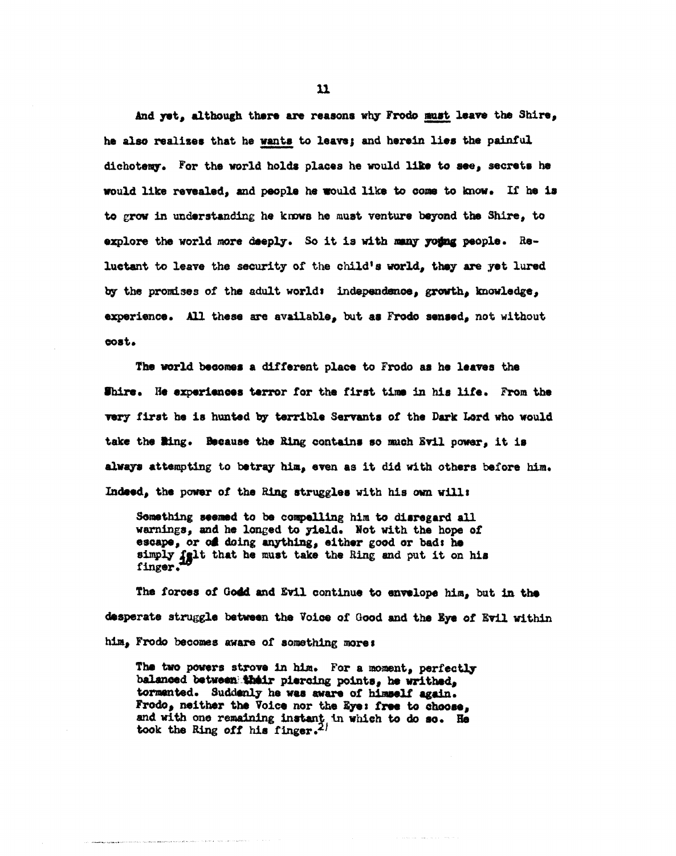And yet, although there are reasons why Frodo must leave the Shire, he also realises that he wants to leave; and herein lies the painful dichotemy. For the world holds places he would like to see, secrets he would like revealed, and people he would like to come to know. If he is to grow in understanding he knows he must venture beyond the Shire, to explore the world more deeply. So it is with many young people. Reluctant to leave the security of the child's world, they are yet lured by the promises of the adult world: independence, growth, knowledge, experience. All these are available, but as Frodo sensed, not without cost.

The world becomes a different place to Frodo as he leaves the Shire. He experiences terror for the first time in his life. From the very first he is hunted by terrible Servants of the Dark Lord who would take the Ring. Because the Ring contains so much Evil power, it is always attempting to betray him, even as it did with others before him. Indeed, the power of the Ring struggles with his own will:

Semething seemed to be compelling him to disregard all warnings, and he longed to yield. Not with the hope of escape, or of doing anything, either good or bad: he simply felt that he must take the Ring and put it on his finger.

The forces of Godd and Evil continue to envelope him, but in the desperate struggle between the Voice of Good and the Eye of Evil within him, Frodo becomes aware of something more:

The two powers strove in him. For a moment, perfectly balanced between thair piercing points, he writhed, tormented. Suddenly he was aware of himself again. Frodo, neither the Voice nor the Eye: free to choose, and with one remaining instant in which to do so. He took the Ring off his finger.<sup>21</sup>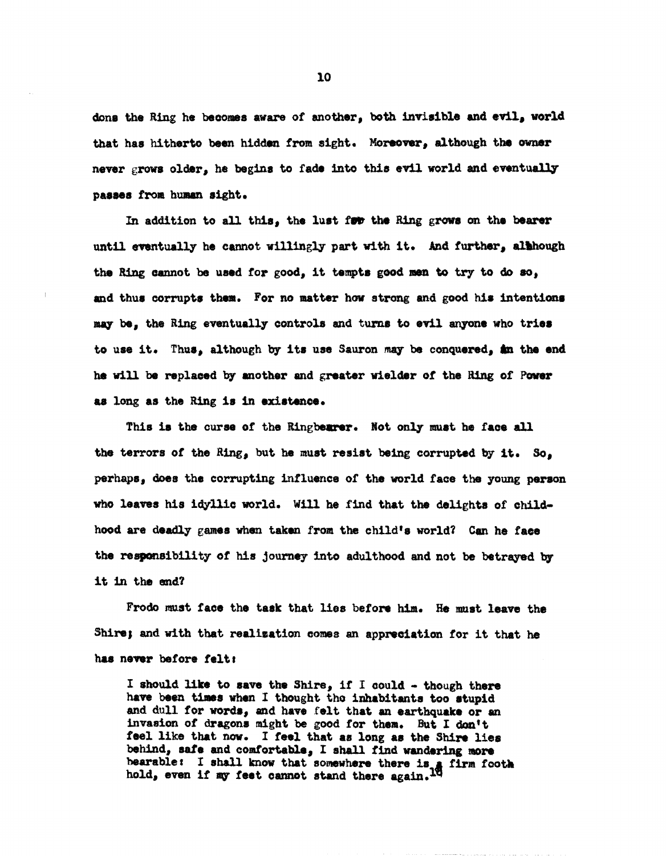dons the Ring he becomes aware of another, both invisible and evil, world that has hitherto been hidden from sight. Moreover, although the owner never grows older, he begins to fade into this evil world and eventually passes from human sight.

In addition to all this, the lust for the Ring grows on the bearer until eventually he cannot willingly part with it. And further, although the Ring cannot be used for good, it tempts good men to try to do so, and thus corrupts them. For no matter how strong and good his intentions may be, the Ring eventually controls and turns to evil anyone who tries to use it. Thus, although by its use Sauron may be conquered, An the end he will be replaced by another and greater wielder of the Ring of Power as long as the Ring 1s in existence.

This is the curse of the Ringbearer. Not only must he face all the terrors *ot* the Ring, but he must resist being corrupted by it. So, perhaps, does the corrupting influence of the world face the young person who leaves his idyllic world. Will he find that the delights of childhood are deadly games when taken from the child's world? Can he face the responsibility of his journey into adulthood and not be betrayed by it in the end?

Frodo must face the task that lies before him. He must leave the Shire; and with that realization comes an appreciation for it that he has never before felt:

I should like to save the Shire, if I could - though there have been times when I thought the inhabitants too stupid and dull tor words, and have felt that an earthquake or an invasion of dragons might be good for them. But I don't feel like that now. I feel that as long as the Shire lies behind, safe and comfortable, I shall find wandering more bearable: I shall know that somewhere there is a firm footh hold, even if my feet cannot stand there again.<sup>10</sup>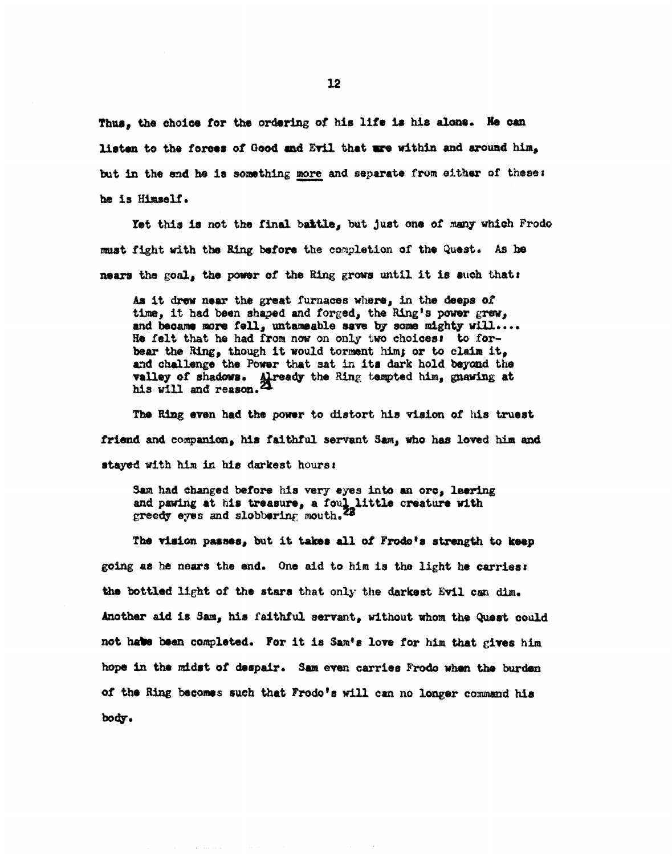Thus, the choice for the ordering of his life is his alone. He can listen to the forces of Good and Evil that wre within and around him, but in the end he is something more and separate from either of these: he is Himself.

Yet this is not the final battle, but just one of many which Frodo must fight with the Ring before the completion of the Quest. As he nears the goal, the power of the Ring grows until it is such that:

As it drew near the great furnaces where, in the deeps of time, it had been shaped and forged, the Ring's power grew, and became more fell, untameable save by some mighty will.... He felt that he had from now on only two choices: to forbear the Ring, though it would torment him; or to claim it, and challenge the Power that sat in its dark hold beyond the valley of shadows. Already the Ring tempted him, gnawing at his will and reason.

The Ring even had the power to distort his vision of his truest friend and companion, his faithful servant Sam, who has loved him and stayed with him in his darkest hours:

Sam had changed before his very eyes into an orc, learing and pawing at his treasure, a foul little creature with greedy eyes and slobbering mouth.<sup>22</sup>

The vision passes, but it takes all of Frodo's strength to keep going as he nears the end. One aid to him is the light he carries: the bottled light of the stars that only the darkest Evil can dim. Another aid is Sam, his faithful servant, without whom the Quest could not have been completed. For it is Sam's love for him that gives him hope in the midst of despair. Sam even carries Frodo when the burden of the Ring becomes such that Frodo's will can no longer command his body.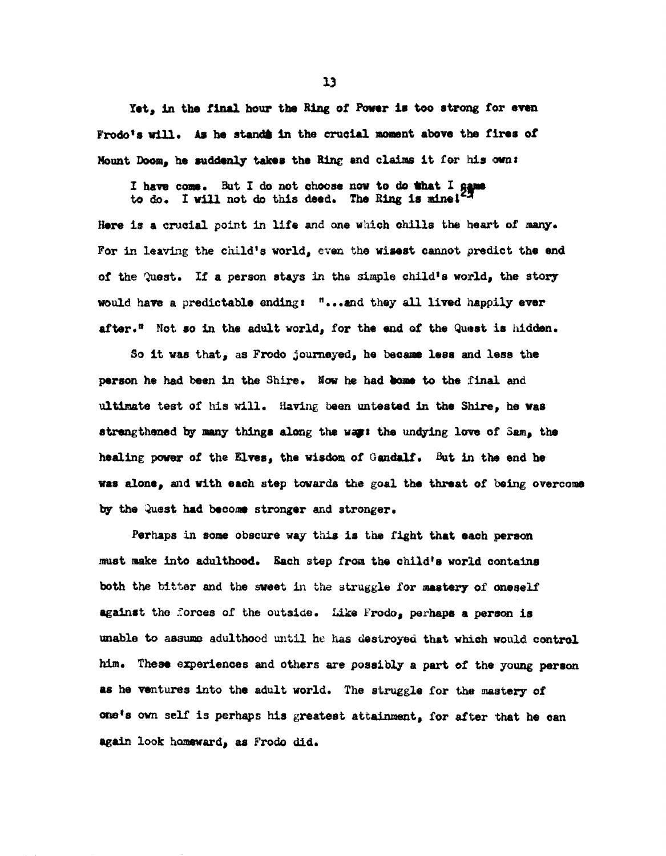Yet, in the final hour the Ring of Power is too strong for even Frodo's will. As he stands in the crucial moment above the fires of Mount Doom. he suddenly takes the Ring and claims it for his own:

I have come. But I do not choose now to do that I game to do. I will not do this deed. The Ring is mine!"

Here is a crucial point in life and one which chills the heart of many. For in leaving the child's world, even the wisest cannot predict the end of the Quest. If a person stays in the simple child's world, the story would have a predictable ending: "...and they all lived happily ever after." Not so in the adult world, for the end of the Quest is hidden.

So it was that, as Frodo journeyed, he became less and less the person he had been in the Shire. Now he had bome to the final and ultimate test of his will. Having been untested in the Shire, he was strengthened by many things along the wast the undying love of Sam, the healing power of the Elves, the wisdom of Gandalf. But in the end he was alone, and with each step towards the goal the threat of being overcome by the Quest had become stronger and stronger.

Perhaps in some obscure way this is the fight that each person must make into adulthood. Sach step from the child's world contains both the bitter and the sweet in the struggle for mastery of oneself against the forces of the outside. Like Frodo, perhaps a person is unable to assume adulthood until he has destroyed that which would control him. These experiences and others are possibly a part of the young person as he ventures into the adult world. The struggle for the mastery of one's own self is perhaps his greatest attainment, for after that he can again look homeward, as Frodo did.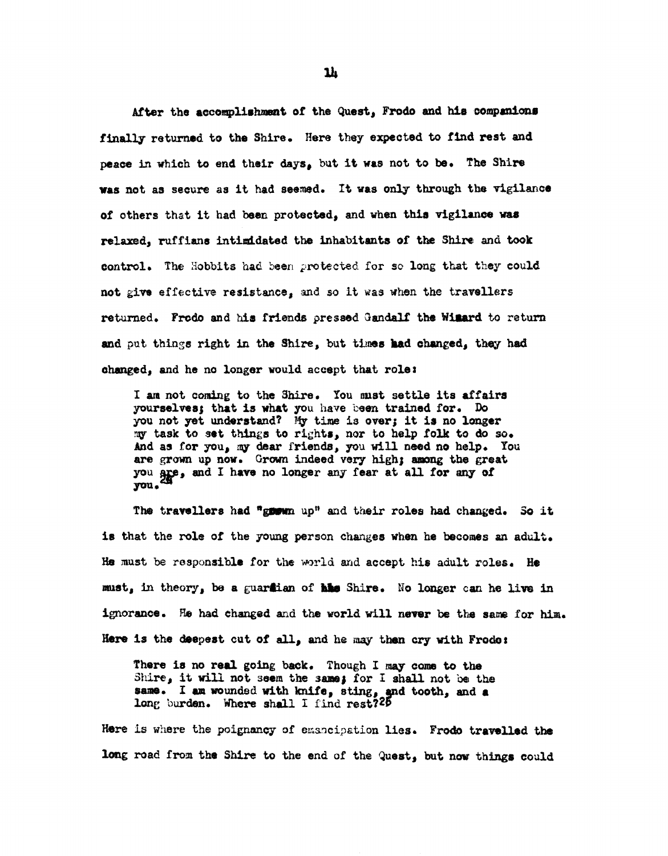After the accomplishment of the Quest, Frodo and his companions finally returned to the Shire. Here they expected to find rest and peace in which to end their days. but it vas not to be. The Shire vas not as secure as it had seemed. It was only through the vigilance of others that it had been protected, and when this vigilance was relaxed, ruffians intimidated the inhabitants of the Shire and took control. The Hobbits had been protected for so long that they could not give effective resistance, and so it was when the travellers returned. Fredo and his friends pressed Gandalf the Wimard to return and put things right in the Shire, but times had changed, they had changed, and he no longer would accept that role:

I am not coming to the Shire. You must settle its affairs yourselves; that is what you have been trained for. Do you not yet understand? My time is over; it is no longer my task to set things to rights, nor to help folk to do so. And as for you, my dear friends, you will need no help. You are grown up now. Grown indeed very high; among the great you grees and I have no longer any fear at all for any of 1011·

The travellers had "gumm up" and their roles had changed. So it is that the role *ot* the young person changes when he becomes an adult. He must be responsible for the world arid accept his adult roles. He must, in theory, be a guardian of his Shire. No longer can he live in ignorance. He had changed and the world will never be the same for him. Here is the deepest cut of all, and he may then cry with Frodo:

There is no real going back. Though I may come to the Shire, it will not seem the same; for I shall not be the same. I am wounded with knife, sting, and tooth, and a long burden. Where shall I find rest? $25$ 

Here is where the poignancy of emsncipation lies. Frodo travelled the long road from the Shire to the end of the Quest, but now things could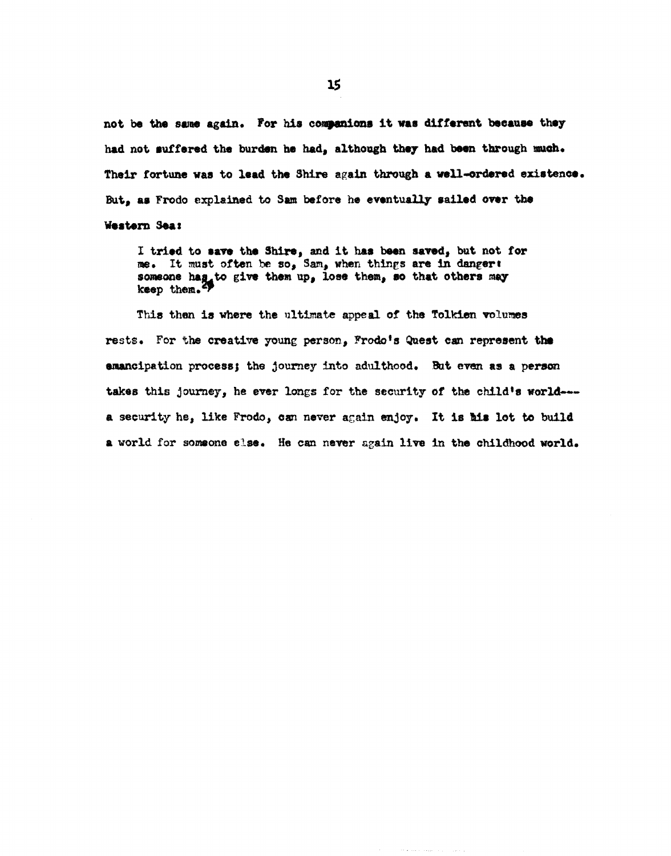not be the same again. For his companions it was different because they had not suffered the burden he had, although they had been through much. Their fortune was to lead the Shire again through a well-ordered existence. But, as Frodo explained to Sam before he eventually sailed over the Western Sea:

I tried to save the Shire, and it has been saved, but not for me. It must often be so, Sam, when things are in danger: someone has to give them up, lose them, so that others may keep them.

This then is where the ultimate appeal of the Tolkien volumes rests. For the creative young person, Frodo's Quest can represent the emancipation process; the journey into adulthood. But even as a person takes this journey, he ever longs for the security of the child's world--a security he, like Frodo, can never again enjoy. It is his lot to build a world for someone else. He can never again live in the childhood world.